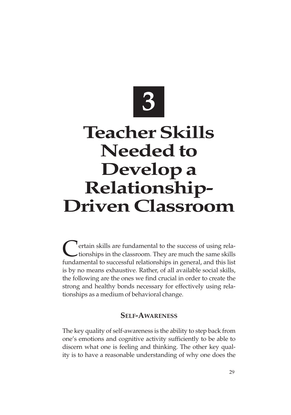

# **Teacher Skills Needed to Develop a Relationship-Driven Classroom**

ertain skills are fundamental to the success of using relationships in the classroom. They are much the same skills fundamental to successful relationships in general, and this list is by no means exhaustive. Rather, of all available social skills, the following are the ones we find crucial in order to create the strong and healthy bonds necessary for effectively using relationships as a medium of behavioral change.

# **SELF-AWARENESS**

 The key quality of self-awareness is the ability to step back from one's emotions and cognitive activity sufficiently to be able to discern what one is feeling and thinking. The other key quality is to have a reasonable understanding of why one does the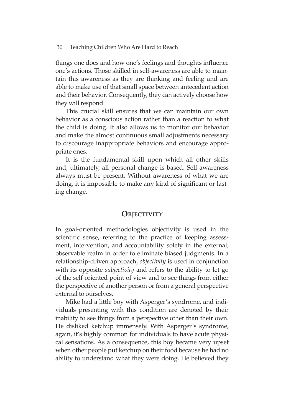things one does and how one's feelings and thoughts influence one's actions. Those skilled in self-awareness are able to maintain this awareness as they are thinking and feeling and are able to make use of that small space between antecedent action and their behavior. Consequently, they can actively choose how they will respond.

 This crucial skill ensures that we can maintain our own behavior as a conscious action rather than a reaction to what the child is doing. It also allows us to monitor our behavior and make the almost continuous small adjustments necessary to discourage inappropriate behaviors and encourage appropriate ones.

 It is the fundamental skill upon which all other skills and, ultimately, all personal change is based. Self-awareness always must be present. Without awareness of what we are doing, it is impossible to make any kind of significant or lasting change.

## **OBJECTIVITY**

 In goal-oriented methodologies objectivity is used in the scientific sense, referring to the practice of keeping assessment, intervention, and accountability solely in the external, observable realm in order to eliminate biased judgments. In a relationship-driven approach, *objectivity* is used in conjunction with its opposite *subjectivity* and refers to the ability to let go of the self-oriented point of view and to see things from either the perspective of another person or from a general perspective external to ourselves.

 Mike had a little boy with Asperger's syndrome, and individuals presenting with this condition are denoted by their inability to see things from a perspective other than their own. He disliked ketchup immensely. With Asperger's syndrome, again, it's highly common for individuals to have acute physical sensations. As a consequence, this boy became very upset when other people put ketchup on their food because he had no ability to understand what they were doing. He believed they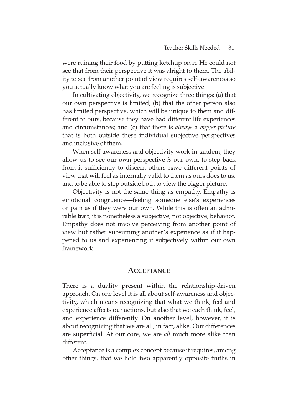were ruining their food by putting ketchup on it. He could not see that from their perspective it was alright to them. The ability to see from another point of view requires self-awareness so you actually know what you are feeling is subjective.

 In cultivating objectivity, we recognize three things: (a) that our own perspective is limited; (b) that the other person also has limited perspective, which will be unique to them and different to ours, because they have had different life experiences and circumstances; and (c) that there is *always* a *bigger picture* that is both outside these individual subjective perspectives and inclusive of them.

 When self-awareness and objectivity work in tandem, they allow us to see our own perspective *is* our own, to step back from it sufficiently to discern others have different points of view that will feel as internally valid to them as ours does to us, and to be able to step outside both to view the bigger picture.

 Objectivity is not the same thing as empathy. Empathy is emotional congruence—feeling someone else's experiences or pain as if they were our own. While this is often an admirable trait, it is nonetheless a subjective, not objective, behavior. Empathy does not involve perceiving from another point of view but rather subsuming another's experience as if it happened to us and experiencing it subjectively within our own framework.

# **ACCEPTANCE**

 There is a duality present within the relationship-driven approach. On one level it is all about self-awareness and objectivity, which means recognizing that what we think, feel and experience affects our actions, but also that we each think, feel, and experience differently. On another level, however, it is about recognizing that we are all, in fact, alike. Our differences are superficial. At our core, we are *all* much more alike than different.

 Acceptance is a complex concept because it requires, among other things, that we hold two apparently opposite truths in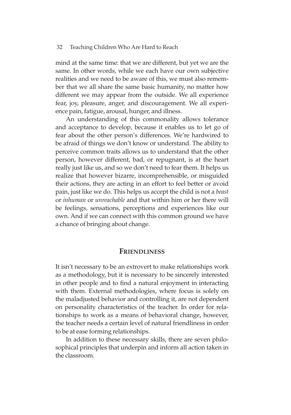mind at the same time: that we are different, but yet we are the same. In other words, while we each have our own subjective realities and we need to be aware of this, we must also remember that we all share the same basic humanity, no matter how different we may appear from the outside. We all experience fear, joy, pleasure, anger, and discouragement. We all experience pain, fatigue, arousal, hunger, and illness.

 An understanding of this commonality allows tolerance and acceptance to develop, because it enables us to let go of fear about the other person's differences. We're hardwired to be afraid of things we don't know or understand. The ability to perceive common traits allows us to understand that the other person, however different, bad, or repugnant, is at the heart really just like us, and so we don't need to fear them. It helps us realize that however bizarre, incomprehensible, or misguided their actions, they are acting in an effort to feel better or avoid pain, just like we do. This helps us accept the child is not a *beast* or *inhuman* or *unreachable* and that within him or her there will be feelings, sensations, perceptions and experiences like our own. And if we can connect with this common ground we have a chance of bringing about change.

# **FRIENDLINESS**

 It isn't necessary to be an extrovert to make relationships work as a methodology, but it is necessary to be sincerely interested in other people and to find a natural enjoyment in interacting with them. External methodologies, where focus is solely on the maladjusted behavior and controlling it, are not dependent on personality characteristics of the teacher. In order for relationships to work as a means of behavioral change, however, the teacher needs a certain level of natural friendliness in order to be at ease forming relationships.

 In addition to these necessary skills, there are seven philosophical principles that underpin and inform all action taken in the classroom.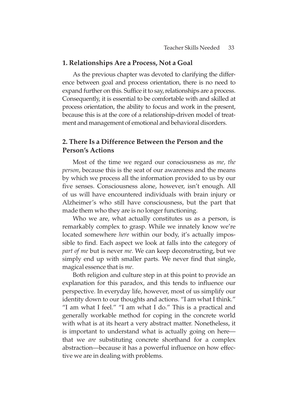## **1. Relationships Are a Process, Not a Goal**

 As the previous chapter was devoted to clarifying the difference between goal and process orientation, there is no need to expand further on this. Suffice it to say, relationships are a process. Consequently, it is essential to be comfortable with and skilled at process orientation, the ability to focus and work in the present, because this is at the core of a relationship-driven model of treatment and management of emotional and behavioral disorders.

# **2. There Is a Difference Between the Person and the Person's Actions**

 Most of the time we regard our consciousness as *me, the person*, because this is the seat of our awareness and the means by which we process all the information provided to us by our five senses. Consciousness alone, however, isn't enough. All of us will have encountered individuals with brain injury or Alzheimer's who still have consciousness, but the part that made them who they are is no longer functioning.

 Who we are, what actually constitutes us as a person, is remarkably complex to grasp. While we innately know we're located somewhere *here* within our body, it's actually impossible to find. Each aspect we look at falls into the category of *part of me* but is never *me* . We can keep deconstructing, but we simply end up with smaller parts. We never find that single, magical essence that is *me* .

 Both religion and culture step in at this point to provide an explanation for this paradox, and this tends to influence our perspective. In everyday life, however, most of us simplify our identity down to our thoughts and actions. "I am what I think." "I am what I feel." "I am what I do." This is a practical and generally workable method for coping in the concrete world with what is at its heart a very abstract matter. Nonetheless, it is important to understand what is actually going on here that we *are* substituting concrete shorthand for a complex abstraction—because it has a powerful influence on how effective we are in dealing with problems.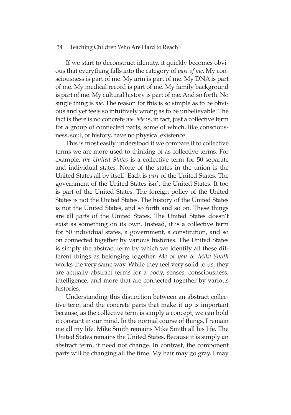If we start to deconstruct identity, it quickly becomes obvious that everything falls into the category of *part of me* . My consciousness is part of me. My arm is part of me. My DNA is part of me. My medical record is part of me. My family background is part of me. My cultural history is part of me. And so forth. No single thing is *me*. The reason for this is so simple as to be obvious and yet feels so intuitively wrong as to be unbelievable: The fact is there is no concrete *me* . *Me* is, in fact, just a collective term for a group of connected parts, some of which, like consciousness, soul, or history, have no physical existence.

 This is most easily understood if we compare it to collective terms we are more used to thinking of as collective terms. For example, *the United States* is a collective term for 50 separate and individual states. None of the states in the union is the United States all by itself. Each is *part* of the United States. The government of the United States isn't the United States. It too is part of the United States. The foreign policy of the United States is not the United States. The history of the United States is not the United States, and so forth and so on. These things are all *parts* of the United States. The United States doesn't exist as something on its own. Instead, it is a collective term for 50 individual states, a government, a constitution, and so on connected together by various histories. The United States is simply the abstract term by which we identify all these different things as belonging together. *Me* or *you* or *Mike Smith* works the very same way. While they feel very solid to us, they are actually abstract terms for a body, senses, consciousness, intelligence, and more that are connected together by various histories.

 Understanding this distinction between an abstract collective term and the concrete parts that make it up is important because, as the collective term is simply a concept, we can hold it constant in our mind. In the normal course of things, I remain me all my life. Mike Smith remains Mike Smith all his life. The United States remains the United States. Because it is simply an abstract term, it need not change. In contrast, the component parts will be changing all the time. My hair may go gray. I may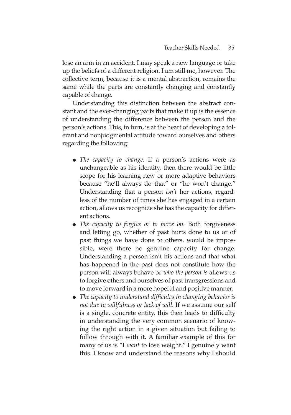lose an arm in an accident. I may speak a new language or take up the beliefs of a different religion. I am still me, however. The collective term, because it is a mental abstraction, remains the same while the parts are constantly changing and constantly capable of change.

 Understanding this distinction between the abstract constant and the ever-changing parts that make it up is the essence of understanding the difference between the person and the person's actions. This, in turn, is at the heart of developing a tolerant and nonjudgmental attitude toward ourselves and others regarding the following:

- *The capacity to change*. If a person's actions were as unchangeable as his identity, then there would be little scope for his learning new or more adaptive behaviors because "he'll always do that" or "he won't change." Understanding that a person *isn't* her actions, regardless of the number of times she has engaged in a certain action, allows us recognize she has the capacity for different actions.
- *The capacity to forgive or to move on.* Both forgiveness and letting go, whether of past hurts done to us or of past things we have done to others, would be impossible, were there no genuine capacity for change. Understanding a person isn't his actions and that what has happened in the past does not constitute how the person will always behave or *who the person is* allows us to forgive others and ourselves of past transgressions and to move forward in a more hopeful and positive manner.
- *The capacity to understand difficulty in changing behavior is not due to willfulness or lack of will.* If we assume our self is a single, concrete entity, this then leads to difficulty in understanding the very common scenario of knowing the right action in a given situation but failing to follow through with it. A familiar example of this for many of us is "I *want* to lose weight." I genuinely want this. I know and understand the reasons why I should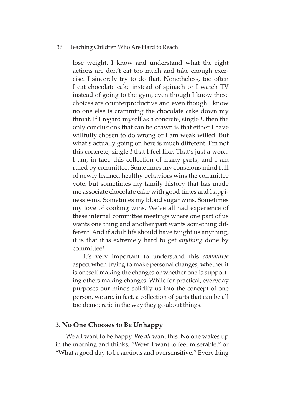lose weight. I know and understand what the right actions are don't eat too much and take enough exercise. I sincerely try to do that. Nonetheless, too often I eat chocolate cake instead of spinach or I watch TV instead of going to the gym, even though I know these choices are counterproductive and even though I know no one else is cramming the chocolate cake down my throat. If I regard myself as a concrete, single *I*, then the only conclusions that can be drawn is that either I have willfully chosen to do wrong or I am weak willed. But what's actually going on here is much different. I'm not this concrete, single *I* that I feel like. That's just a word. I am, in fact, this collection of many parts, and I am ruled by committee. Sometimes my conscious mind full of newly learned healthy behaviors wins the committee vote, but sometimes my family history that has made me associate chocolate cake with good times and happiness wins. Sometimes my blood sugar wins. Sometimes my love of cooking wins. We've all had experience of these internal committee meetings where one part of us wants one thing and another part wants something different. And if adult life should have taught us anything, it is that it is extremely hard to get *anything* done by committee!

 It's very important to understand this *committee* aspect when trying to make personal changes, whether it is oneself making the changes or whether one is supporting others making changes. While for practical, everyday purposes our minds solidify us into the concept of one person, we are, in fact, a collection of parts that can be all too democratic in the way they go about things.

#### **3. No One Chooses to Be Unhappy**

 We all want to be happy. We *all* want this. No one wakes up in the morning and thinks, "Wow, I want to feel miserable," or "What a good day to be anxious and oversensitive." Everything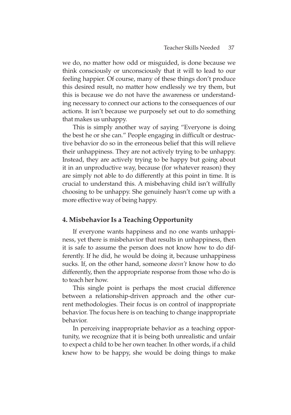we do, no matter how odd or misguided, is done because we think consciously or unconsciously that it will to lead to our feeling happier. Of course, many of these things don't produce this desired result, no matter how endlessly we try them, but this is because we do not have the awareness or understanding necessary to connect our actions to the consequences of our actions. It isn't because we purposely set out to do something that makes us unhappy.

 This is simply another way of saying "Everyone is doing the best he or she can." People engaging in difficult or destructive behavior do so in the erroneous belief that this will relieve their unhappiness. They are not actively trying to be unhappy. Instead, they are actively trying to be happy but going about it in an unproductive way, because (for whatever reason) they are simply not able to do differently at this point in time. It is crucial to understand this. A misbehaving child isn't willfully choosing to be unhappy. She genuinely hasn't come up with a more effective way of being happy.

# **4. Misbehavior Is a Teaching Opportunity**

 If everyone wants happiness and no one wants unhappiness, yet there is misbehavior that results in unhappiness, then it is safe to assume the person does not know how to do differently. If he did, he would be doing it, because unhappiness sucks. If, on the other hand, someone *doesn't* know how to do differently, then the appropriate response from those who do is to teach her how.

 This single point is perhaps the most crucial difference between a relationship-driven approach and the other current methodologies. Their focus is on control of inappropriate behavior. The focus here is on teaching to change inappropriate behavior.

 In perceiving inappropriate behavior as a teaching opportunity, we recognize that it is being both unrealistic and unfair to expect a child to be her own teacher. In other words, if a child knew how to be happy, she would be doing things to make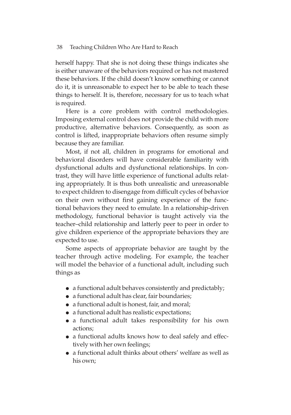herself happy. That she is not doing these things indicates she is either unaware of the behaviors required or has not mastered these behaviors. If the child doesn't know something or cannot do it, it is unreasonable to expect her to be able to teach these things to herself. It is, therefore, necessary for us to teach what is required.

 Here is a core problem with control methodologies. Imposing external control does not provide the child with more productive, alternative behaviors. Consequently, as soon as control is lifted, inappropriate behaviors often resume simply because they are familiar.

 Most, if not all, children in programs for emotional and behavioral disorders will have considerable familiarity with dysfunctional adults and dysfunctional relationships. In contrast, they will have little experience of functional adults relating appropriately. It is thus both unrealistic and unreasonable to expect children to disengage from difficult cycles of behavior on their own without first gaining experience of the functional behaviors they need to emulate. In a relationship-driven methodology, functional behavior is taught actively via the teacher–child relationship and latterly peer to peer in order to give children experience of the appropriate behaviors they are expected to use.

 Some aspects of appropriate behavior are taught by the teacher through active modeling. For example, the teacher will model the behavior of a functional adult, including such things as

- a functional adult behaves consistently and predictably;
- a functional adult has clear, fair boundaries;
- a functional adult is honest, fair, and moral;
- a functional adult has realistic expectations;
- a functional adult takes responsibility for his own actions;
- a functional adults knows how to deal safely and effectively with her own feelings;
- a functional adult thinks about others' welfare as well as his own;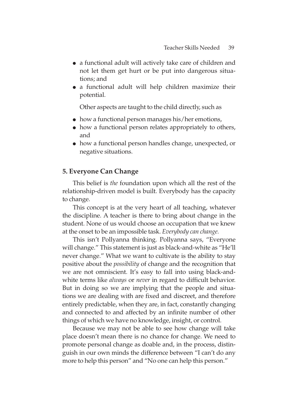- a functional adult will actively take care of children and not let them get hurt or be put into dangerous situations; and
- a functional adult will help children maximize their potential.

Other aspects are taught to the child directly, such as

- how a functional person manages his/her emotions,
- how a functional person relates appropriately to others, and
- how a functional person handles change, unexpected, or negative situations.

## **5. Everyone Can Change**

 This belief is *the* foundation upon which all the rest of the relationship-driven model is built. Everybody has the capacity to change.

 This concept is at the very heart of all teaching, whatever the discipline. A teacher is there to bring about change in the student. None of us would choose an occupation that we knew at the onset to be an impossible task. *Everybody can change.*

 This isn't Pollyanna thinking. Pollyanna says, "Everyone will change." This statement is just as black-and-white as "He'll never change." What we want to cultivate is the ability to stay positive about the *possibility* of change and the recognition that we are not omniscient. It's easy to fall into using black-andwhite terms like *always* or *never* in regard to difficult behavior. But in doing so we are implying that the people and situations we are dealing with are fixed and discreet, and therefore entirely predictable, when they are, in fact, constantly changing and connected to and affected by an infinite number of other things of which we have no knowledge, insight, or control.

 Because we may not be able to see how change will take place doesn't mean there is no chance for change. We need to promote personal change as doable and, in the process, distinguish in our own minds the difference between "I can't do any more to help this person" and "No one can help this person."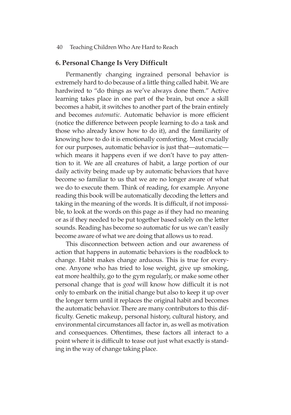## **6. Personal Change Is Very Difficult**

 Permanently changing ingrained personal behavior is extremely hard to do because of a little thing called habit. We are hardwired to "do things as we've always done them." Active learning takes place in one part of the brain, but once a skill becomes a habit, it switches to another part of the brain entirely and becomes *automatic* . Automatic behavior is more efficient (notice the difference between people learning to do a task and those who already know how to do it), and the familiarity of knowing how to do it is emotionally comforting. Most crucially for our purposes, automatic behavior is just that— automatic which means it happens even if we don't have to pay attention to it. We are all creatures of habit, a large portion of our daily activity being made up by automatic behaviors that have become so familiar to us that we are no longer aware of what we do to execute them. Think of reading, for example. Anyone reading this book will be automatically decoding the letters and taking in the meaning of the words. It is difficult, if not impossible, to look at the words on this page as if they had no meaning or as if they needed to be put together based solely on the letter sounds. Reading has become so automatic for us we can't easily become aware of what we are doing that allows us to read.

 This disconnection between action and our awareness of action that happens in automatic behaviors is the roadblock to change. Habit makes change arduous. This is true for everyone. Anyone who has tried to lose weight, give up smoking, eat more healthily, go to the gym regularly, or make some other personal change that is *good* will know how difficult it is not only to embark on the initial change but also to keep it up over the longer term until it replaces the original habit and becomes the automatic behavior. There are many contributors to this difficulty. Genetic makeup, personal history, cultural history, and environmental circumstances all factor in, as well as motivation and consequences. Oftentimes, these factors all interact to a point where it is difficult to tease out just what exactly is standing in the way of change taking place.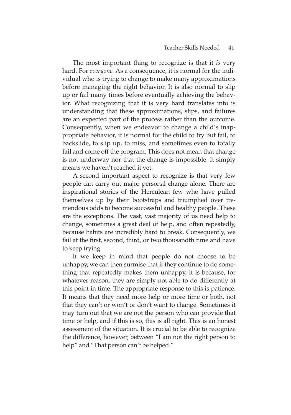The most important thing to recognize is that it *is* very hard. For *everyone.* As a consequence, it is normal for the individual who is trying to change to make many approximations before managing the right behavior. It is also normal to slip up or fail many times before eventually achieving the behavior. What recognizing that it is very hard translates into is understanding that these approximations, slips, and failures are an expected part of the process rather than the outcome. Consequently, when we endeavor to change a child's inappropriate behavior, it is normal for the child to try but fail, to backslide, to slip up, to miss, and sometimes even to totally fail and come off the program. This does not mean that change is not underway nor that the change is impossible. It simply means we haven't reached it yet.

 A second important aspect to recognize is that very few people can carry out major personal change alone. There are inspirational stories of the Herculean few who have pulled themselves up by their bootstraps and triumphed over tremendous odds to become successful and healthy people. These are the exceptions. The vast, vast majority of us need help to change, sometimes a great deal of help, and often repeatedly, because habits are incredibly hard to break. Consequently, we fail at the first, second, third, or two thousandth time and have to keep trying.

 If we keep in mind that people do not choose to be unhappy, we can then surmise that if they continue to do something that repeatedly makes them unhappy, it is because, for whatever reason, they are simply not able to do differently at this point in time. The appropriate response to this is patience. It means that they need more help or more time or both, not that they can't or won't or don't want to change. Sometimes it may turn out that we are not the person who can provide that time or help, and if this is so, this is all right. This is an honest assessment of the situation. It is crucial to be able to recognize the difference, however, between "I am not the right person to help" and "That person can't be helped."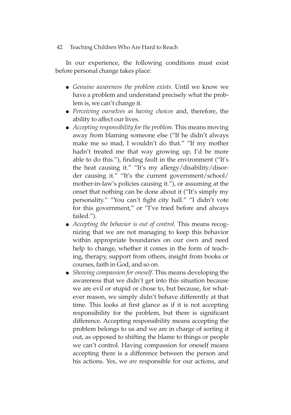In our experience, the following conditions must exist before personal change takes place:

- *Genuine awareness the problem exists.* Until we know we have a problem and understand precisely what the problem is, we can't change it.
- *Perceiving ourselves as having choices* and, therefore, the ability to affect our lives.
- *Accepting responsibility for the problem.* This means moving away from blaming someone else ("If he didn't always make me so mad, I wouldn't do that." "If my mother hadn't treated me that way growing up, I'd be more able to do this."), finding fault in the environment ("It's the heat causing it." "It's my allergy/disability/disorder causing it." "It's the current government/school/ mother-in-law's policies causing it."), or assuming at the onset that nothing can be done about it ("It's simply my personality." "You can't fight city hall." "I didn't vote for this government," or "I've tried before and always failed.").
- *Accepting the behavior is out of control.* This means recognizing that we are not managing to keep this behavior within appropriate boundaries on our own and need help to change, whether it comes in the form of teaching, therapy, support from others, insight from books or courses, faith in God, and so on.
- *Showing compassion for oneself.* This means developing the awareness that we didn't get into this situation because we are evil or stupid or chose to, but because, for whatever reason, we simply didn't behave differently at that time. This looks at first glance as if it is not accepting responsibility for the problem, but there is significant difference. Accepting responsibility means accepting the problem belongs to us and we are in charge of sorting it out, as opposed to shifting the blame to things or people we can't control. Having compassion for oneself means accepting there is a difference between the person and his actions. Yes, we *are* responsible for our actions, and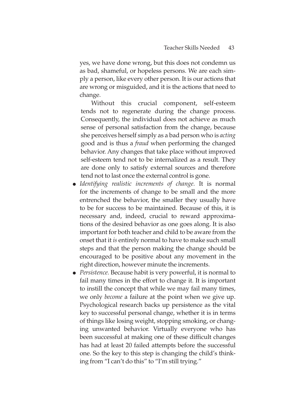yes, we have done wrong, but this does not condemn us as bad, shameful, or hopeless persons. We are each simply a person, like every other person. It is our actions that are wrong or misguided, and it is the actions that need to change.

 Without this crucial component, self-esteem tends not to regenerate during the change process. Consequently, the individual does not achieve as much sense of personal satisfaction from the change, because she perceives herself simply as a bad person who is *acting* good and is thus a *fraud* when performing the changed behavior. Any changes that take place without improved self-esteem tend not to be internalized as a result. They are done only to satisfy external sources and therefore tend not to last once the external control is gone.

- *Identifying realistic increments of change.* It is normal for the increments of change to be small and the more entrenched the behavior, the smaller they usually have to be for success to be maintained. Because of this, it is necessary and, indeed, crucial to reward approximations of the desired behavior as one goes along. It is also important for both teacher and child to be aware from the onset that it *is* entirely normal to have to make such small steps and that the person making the change should be encouraged to be positive about any movement in the right direction, however minute the increments.
- *Persistence.* Because habit is very powerful, it is normal to fail many times in the effort to change it. It is important to instill the concept that while we may fail many times, we only *become* a failure at the point when we give up. Psychological research backs up persistence as the vital key to successful personal change, whether it is in terms of things like losing weight, stopping smoking, or changing unwanted behavior. Virtually everyone who has been successful at making one of these difficult changes has had at least 20 failed attempts before the successful one. So the key to this step is changing the child's thinking from "I can't do this" to "I'm still trying."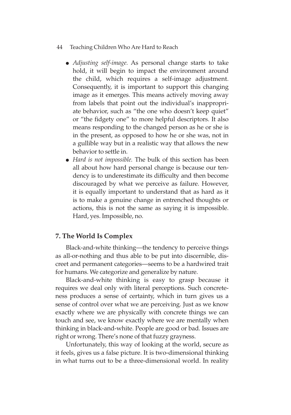- 44 Teaching Children Who Are Hard to Reach
	- *Adjusting self-image.* As personal change starts to take hold, it will begin to impact the environment around the child, which requires a self-image adjustment. Consequently, it is important to support this changing image as it emerges. This means actively moving away from labels that point out the individual's inappropriate behavior, such as "the one who doesn't keep quiet" or "the fidgety one" to more helpful descriptors. It also means responding to the changed person as he or she is in the present, as opposed to how he or she was, not in a gullible way but in a realistic way that allows the new behavior to settle in.
	- *Hard is not impossible*. The bulk of this section has been all about how hard personal change is because our tendency is to underestimate its difficulty and then become discouraged by what we perceive as failure. However, it is equally important to understand that as hard as it is to make a genuine change in entrenched thoughts or actions, this is not the same as saying it is impossible. Hard, yes. Impossible, no.

## **7. The World Is Complex**

 Black-and-white thinking—the tendency to perceive things as all-or-nothing and thus able to be put into discernible, discreet and permanent categories—seems to be a hardwired trait for humans. We categorize and generalize by nature.

 Black-and-white thinking is easy to grasp because it requires we deal only with literal perceptions. Such concreteness produces a sense of certainty, which in turn gives us a sense of control over what we are perceiving. Just as we know exactly where we are physically with concrete things we can touch and see, we know exactly where we are mentally when thinking in black-and-white. People are good or bad. Issues are right or wrong. There's none of that fuzzy grayness.

 Unfortunately, this way of looking at the world, secure as it feels, gives us a false picture. It is two-dimensional thinking in what turns out to be a three-dimensional world. In reality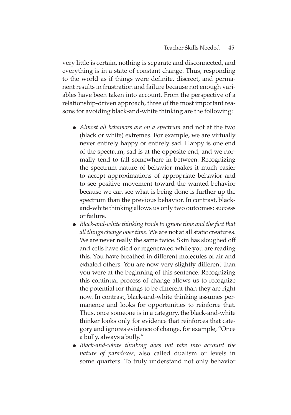very little is certain, nothing is separate and disconnected, and everything is in a state of constant change. Thus, responding to the world as if things were definite, discreet, and permanent results in frustration and failure because not enough variables have been taken into account. From the perspective of a relationship-driven approach, three of the most important reasons for avoiding black-and-white thinking are the following:

- *Almost all behaviors are on a spectrum* and not at the two (black or white) extremes. For example, we are virtually never entirely happy or entirely sad. Happy is one end of the spectrum, sad is at the opposite end, and we normally tend to fall somewhere in between. Recognizing the spectrum nature of behavior makes it much easier to accept approximations of appropriate behavior and to see positive movement toward the wanted behavior because we can see what is being done is further up the spectrum than the previous behavior. In contrast, blackand-white thinking allows us only two outcomes: success or failure.
- *Black-and-white thinking tends to ignore time and the fact that all things change over time.* We are not at all static creatures. We are never really the same twice. Skin has sloughed off and cells have died or regenerated while you are reading this. You have breathed in different molecules of air and exhaled others. You are now very slightly different than you were at the beginning of this sentence. Recognizing this continual process of change allows us to recognize the potential for things to be different than they are right now. In contrast, black-and-white thinking assumes permanence and looks for opportunities to reinforce that. Thus, once someone is in a category, the black-and-white thinker looks only for evidence that reinforces that category and ignores evidence of change, for example, "Once a bully, always a bully."
- *Black-and-white thinking does not take into account the nature of paradoxes,* also called dualism or levels in some quarters. To truly understand not only behavior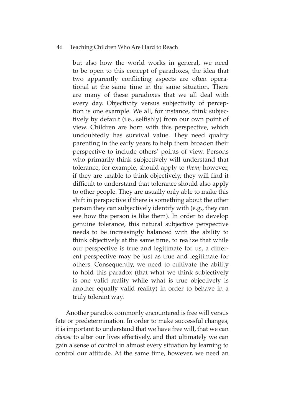but also how the world works in general, we need to be open to this concept of paradoxes, the idea that two apparently conflicting aspects are often operational at the same time in the same situation. There are many of these paradoxes that we all deal with every day. Objectivity versus subjectivity of perception is one example. We all, for instance, think subjectively by default (i.e., selfishly) from our own point of view. Children are born with this perspective, which undoubtedly has survival value. They need quality parenting in the early years to help them broaden their perspective to include others' points of view. Persons who primarily think subjectively will understand that tolerance, for example, should apply to *them;* however, if they are unable to think objectively, they will find it difficult to understand that tolerance should also apply to other people. They are usually only able to make this shift in perspective if there is something about the other person they can subjectively identify with (e.g., they can see how the person is like them). In order to develop genuine tolerance, this natural subjective perspective needs to be increasingly balanced with the ability to think objectively at the same time, to realize that while our perspective is true and legitimate for us, a different perspective may be just as true and legitimate for others. Consequently, we need to cultivate the ability to hold this paradox (that what we think subjectively is one valid reality while what is true objectively is another equally valid reality) in order to behave in a truly tolerant way.

 Another paradox commonly encountered is free will versus fate or predetermination. In order to make successful changes, it is important to understand that we have free will, that we can *choose* to alter our lives effectively, and that ultimately we can gain a sense of control in almost every situation by learning to control our attitude. At the same time, however, we need an